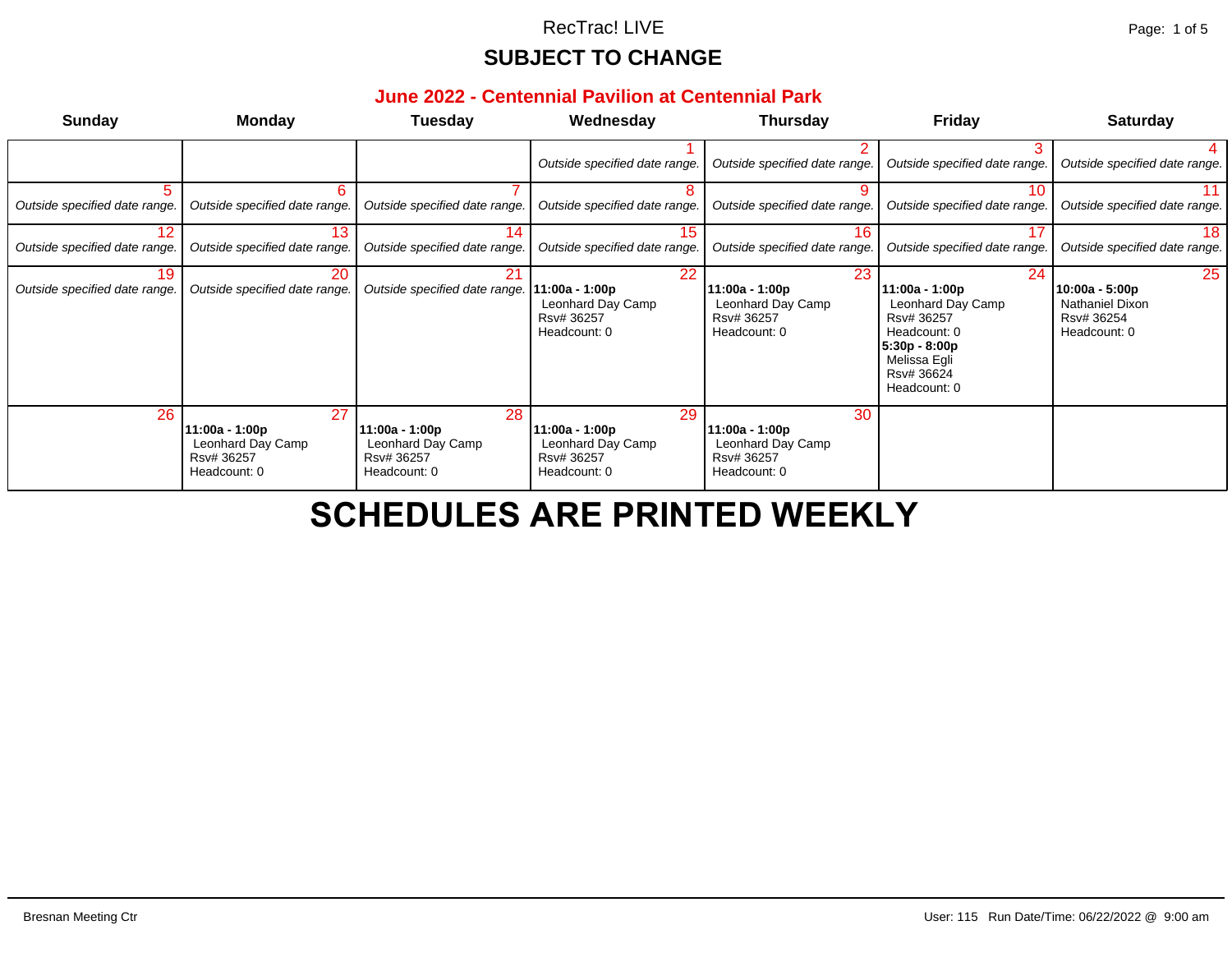#### **June 2022 - Centennial Pavilion at Centennial Park**

| <b>Sunday</b>                       | <b>Monday</b>                                                           | Tuesday                                                                 | Wednesday                                                               | Thursday                                                                | Fri                                                                                                                    |
|-------------------------------------|-------------------------------------------------------------------------|-------------------------------------------------------------------------|-------------------------------------------------------------------------|-------------------------------------------------------------------------|------------------------------------------------------------------------------------------------------------------------|
|                                     |                                                                         |                                                                         | Outside specified date range.                                           | Outside specified date range.                                           | Outside spe                                                                                                            |
| Outside specified date range.       | 6<br>Outside specified date range.                                      | Outside specified date range.                                           | 8<br>Outside specified date range.                                      | 9<br>Outside specified date range.                                      | Outside spe                                                                                                            |
| 12<br>Outside specified date range. | 13<br>Outside specified date range.                                     | 14<br>Outside specified date range.                                     | 15<br>Outside specified date range.                                     | 16<br>Outside specified date range.                                     | Outside spe                                                                                                            |
| 19<br>Outside specified date range. | 20<br>Outside specified date range.                                     | 21<br>Outside specified date range.                                     | 22<br>11:00a - 1:00p<br>Leonhard Day Camp<br>Rsv# 36257<br>Headcount: 0 | 23<br>11:00a - 1:00p<br>Leonhard Day Camp<br>Rsv# 36257<br>Headcount: 0 | 11:00a - 1:00<br>Leonhard D<br>Rsv# 36257<br>Headcount:<br>$5:30p - 8:00p$<br>Melissa Egli<br>Rsv# 36624<br>Headcount: |
| 26                                  | 27<br>11:00a - 1:00p<br>Leonhard Day Camp<br>Rsv# 36257<br>Headcount: 0 | 28<br>11:00a - 1:00p<br>Leonhard Day Camp<br>Rsv# 36257<br>Headcount: 0 | 29<br>11:00a - 1:00p<br>Leonhard Day Camp<br>Rsv# 36257<br>Headcount: 0 | 30<br>11:00a - 1:00p<br>Leonhard Day Camp<br>Rsv# 36257<br>Headcount: 0 |                                                                                                                        |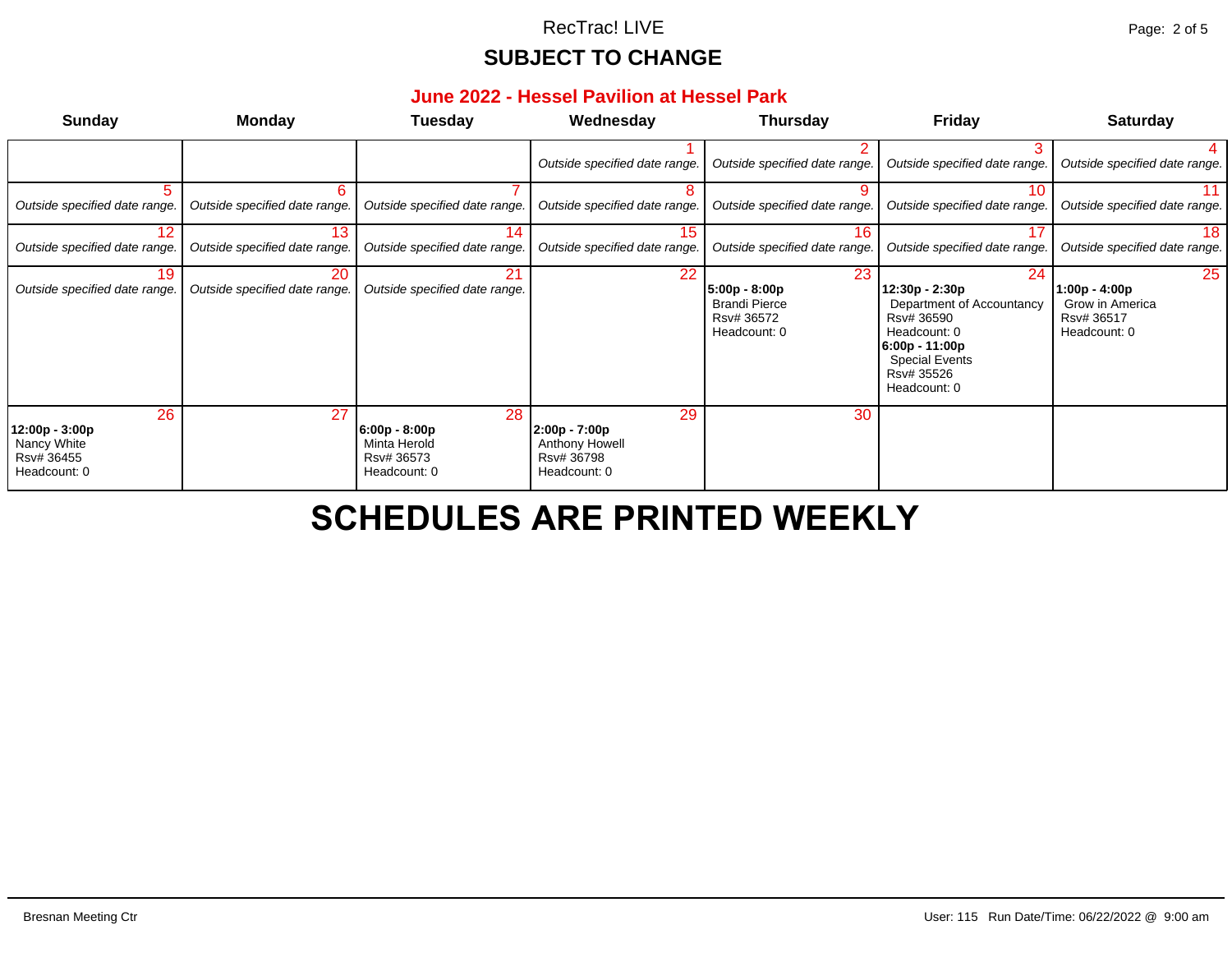#### **June 2022 - Hessel Pavilion at Hessel Park**

| <b>Sunday</b>                                                     | <b>Monday</b>                       | <b>Tuesday</b>                                                      | Wednesday                                                             | <b>Thursday</b>                                                           | Fri                                                                                                                 |
|-------------------------------------------------------------------|-------------------------------------|---------------------------------------------------------------------|-----------------------------------------------------------------------|---------------------------------------------------------------------------|---------------------------------------------------------------------------------------------------------------------|
|                                                                   |                                     |                                                                     | Outside specified date range.                                         | Outside specified date range.                                             | Outside spe                                                                                                         |
| Outside specified date range.                                     | 6<br>Outside specified date range.  | Outside specified date range.                                       | 8.<br>Outside specified date range.                                   | 9<br>Outside specified date range.                                        | Outside spe                                                                                                         |
| 12<br>Outside specified date range.                               | 13<br>Outside specified date range. | 14<br>Outside specified date range.                                 | 15 <sub>1</sub><br>Outside specified date range.                      | 16<br>Outside specified date range.                                       | Outside spe                                                                                                         |
| 19<br>Outside specified date range.                               | 20<br>Outside specified date range. | 21<br>Outside specified date range.                                 | 22 <sub>2</sub>                                                       | 23<br>5:00p - 8:00p<br><b>Brandi Pierce</b><br>Rsv# 36572<br>Headcount: 0 | 12:30p - 2:3<br>Departmen<br>Rsv# 36590<br>Headcount:<br>$6:00p - 11:00$<br>Special Eve<br>Rsv# 35526<br>Headcount: |
| 26<br>12:00p - 3:00p<br>Nancy White<br>Rsv# 36455<br>Headcount: 0 | 27                                  | 28<br>$6:00p - 8:00p$<br>Minta Herold<br>Rsv# 36573<br>Headcount: 0 | 29<br>$2:00p - 7:00p$<br>Anthony Howell<br>Rsv# 36798<br>Headcount: 0 | 30                                                                        |                                                                                                                     |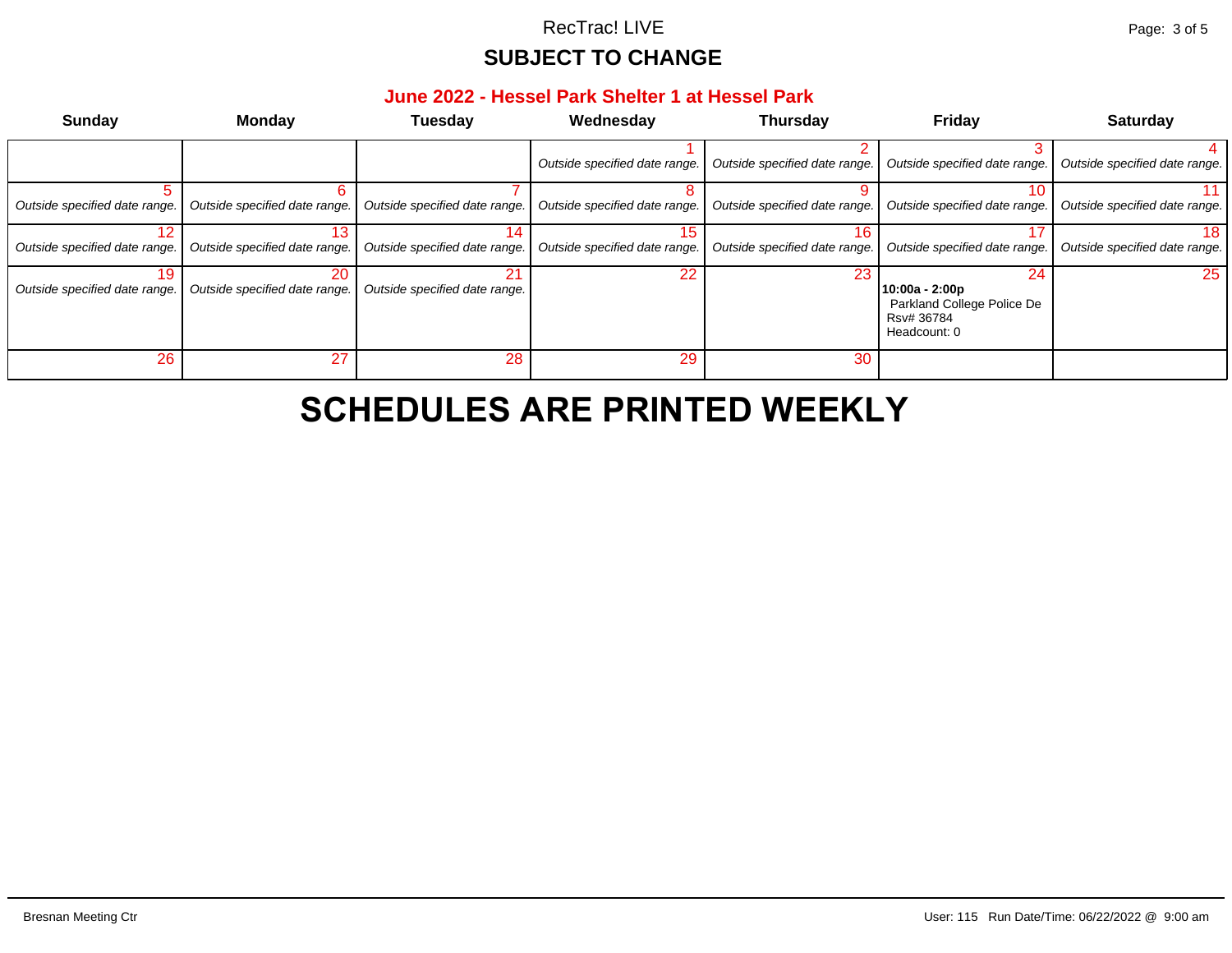#### **June 2022 - Hessel Park Shelter 1 at Hessel Park**

| Sunday                              | <b>Monday</b>                       | <b>Tuesday</b>                       | Wednesday                            | <b>Thursday</b>               | Fri                                                     |
|-------------------------------------|-------------------------------------|--------------------------------------|--------------------------------------|-------------------------------|---------------------------------------------------------|
|                                     |                                     |                                      | Outside specified date range.        | Outside specified date range. | Outside spe                                             |
| Outside specified date range.       | հ<br>Outside specified date range.  | Outside specified date range.        | Outside specified date range.        | Outside specified date range. | Outside spe                                             |
| 12<br>Outside specified date range. | 13<br>Outside specified date range. | I4.<br>Outside specified date range. | 15.<br>Outside specified date range. | Outside specified date range. | Outside spe                                             |
| 19<br>Outside specified date range. | 20<br>Outside specified date range. | 21<br>Outside specified date range.  | 22 <sub>2</sub>                      | 23                            | 10:00a - 2:00<br>Parkland C<br>Rsv# 36784<br>Headcount: |
| 26                                  | 27                                  | 28                                   | 29                                   | 30                            |                                                         |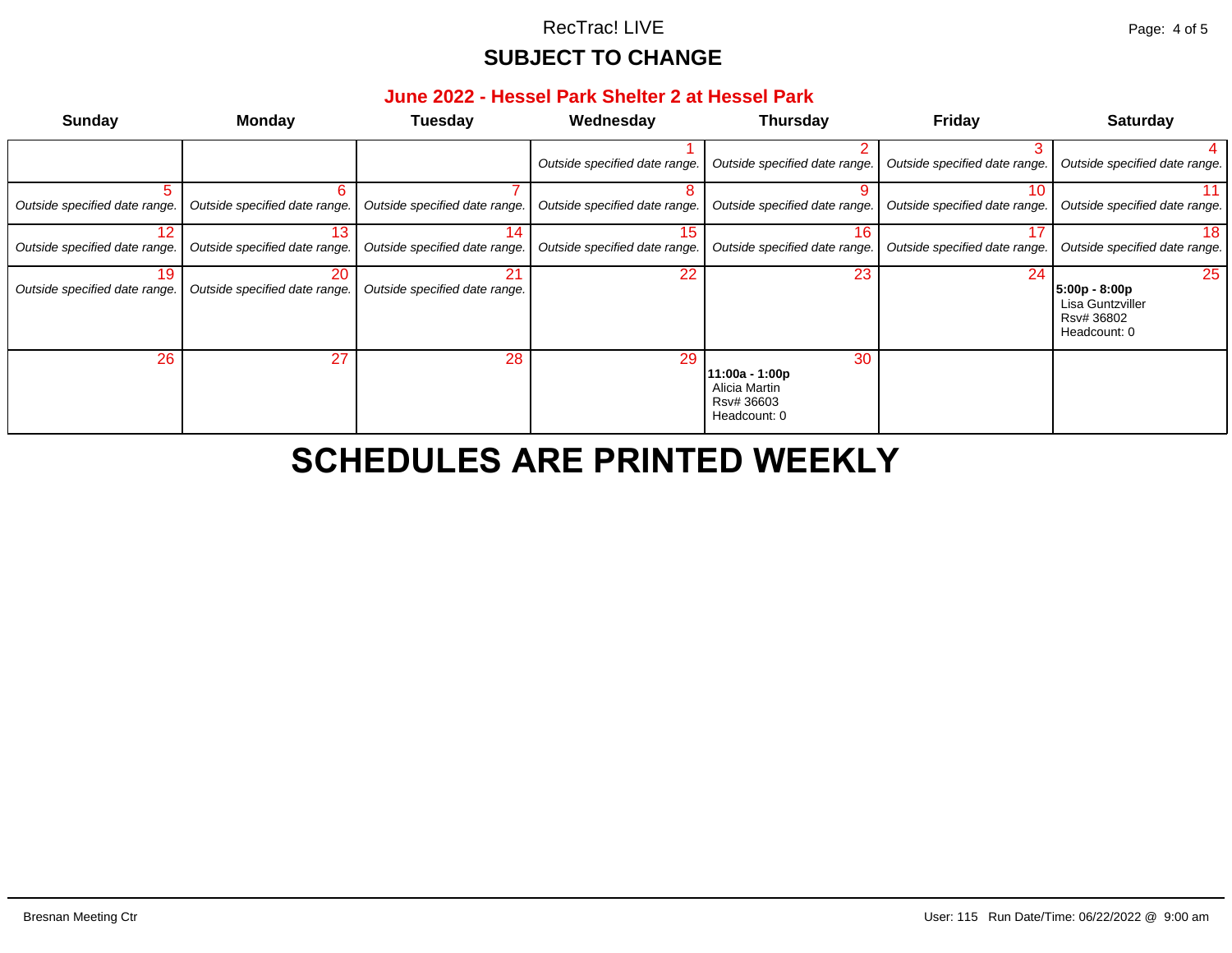#### **June 2022 - Hessel Park Shelter 2 at Hessel Park**

| <b>Sunday</b>                       | <b>Monday</b>                       | <b>Tuesday</b>                      | Wednesday                           | <b>Thursday</b>                                                     | Fri         |
|-------------------------------------|-------------------------------------|-------------------------------------|-------------------------------------|---------------------------------------------------------------------|-------------|
|                                     |                                     |                                     | Outside specified date range.       | Outside specified date range.                                       | Outside spe |
| Outside specified date range.       | 6<br>Outside specified date range.  | Outside specified date range.       | Outside specified date range.       | Outside specified date range.                                       | Outside spe |
| Outside specified date range.       | 13<br>Outside specified date range. | 14<br>Outside specified date range. | 15<br>Outside specified date range. | 16<br>Outside specified date range.                                 | Outside spe |
| 19<br>Outside specified date range. | 20<br>Outside specified date range. | 21<br>Outside specified date range. | 22                                  | 23                                                                  |             |
| 26                                  | 27                                  | 28                                  | 29                                  | 30<br>11:00a - 1:00p<br>Alicia Martin<br>Rsv# 36603<br>Headcount: 0 |             |